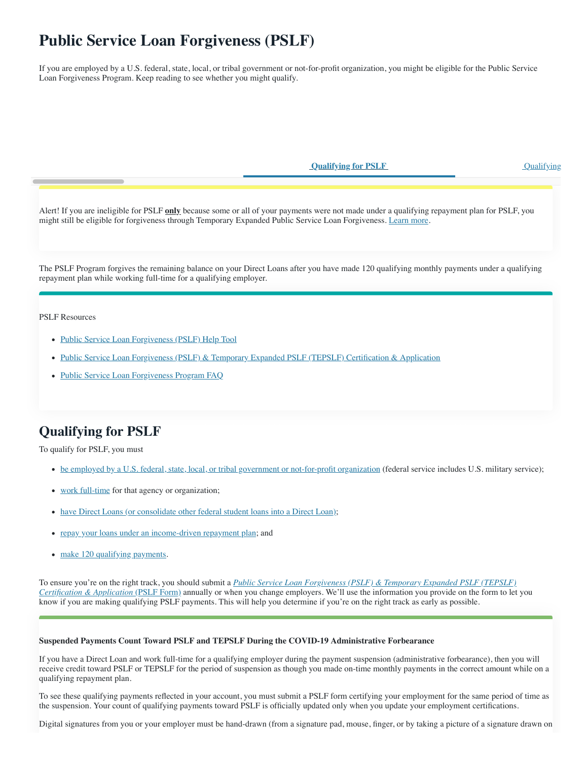# **Public Service Loan Forgiveness (PSLF)**

If you are employed by a U.S. federal, state, local, or tribal government or not-for-profit organization, you might be eligible for the Public Service Loan Forgiveness Program. Keep reading to see whether you might qualify.

**Qualifying for PSLF** Qualifying

Alert! If you are ineligible for PSLF **only** because some or all of your payments were not made under a qualifying repayment plan for PSLF, you might still be eligible for forgiveness through Temporary Expanded Public Service Loan Forgiveness. [Learn more](https://studentaid.gov/manage-loans/forgiveness-cancellation/public-service/temporary-expanded-public-service-loan-forgiveness).

The PSLF Program forgives the remaining balance on your Direct Loans after you have made 120 qualifying monthly payments under a qualifying repayment plan while working full-time for a qualifying employer.

PSLF Resources

- [Public Service Loan Forgiveness \(PSLF\) Help Tool](https://studentaid.gov/pslf/)
- [Public Service Loan Forgiveness \(PSLF\) & Temporary Expanded PSLF \(TEPSLF\) Certification & Application](https://studentaid.gov/manage-loans/forgiveness-cancellation/public-service/public-service-loan-forgiveness-application)
- [Public Service Loan Forgiveness Program FAQ](https://studentaid.gov/manage-loans/forgiveness-cancellation/public-service/questions)

## **Qualifying for PSLF**

To qualify for PSLF, you must

- [be employed by a U.S. federal, state, local, or tribal government or not-for-profit organization](https://studentaid.gov/manage-loans/forgiveness-cancellation/public-service#qualifying-employment) (federal service includes U.S. military service);
- [work full-time](https://studentaid.gov/manage-loans/forgiveness-cancellation/public-service#full-time-employment) for that agency or organization;
- [have Direct Loans \(or consolidate other federal student loans into a Direct Loan\)](https://studentaid.gov/manage-loans/forgiveness-cancellation/public-service#eligible-loans);
- [repay your loans under an income-driven repayment plan;](https://studentaid.gov/manage-loans/forgiveness-cancellation/public-service#qualifying-payments) and
- [make 120 qualifying payments.](https://studentaid.gov/manage-loans/forgiveness-cancellation/public-service#qualifying-payments)

To ensure you're on the right track, you should submit a *Public Service Loan Forgiveness (PSLF) & Temporary Expanded PSLF (TEPSLF) Certification & Application* (PSLF Form) [annually or when you change employers. We'll use the information you provide on the form to let](https://studentaid.gov/manage-loans/forgiveness-cancellation/public-service/public-service-loan-forgiveness-application) you know if you are making qualifying PSLF payments. This will help you determine if you're on the right track as early as possible.

#### **Suspended Payments Count Toward PSLF and TEPSLF During the COVID-19 Administrative Forbearance**

If you have a Direct Loan and work full-time for a qualifying employer during the payment suspension (administrative forbearance), then you will receive credit toward PSLF or TEPSLF for the period of suspension as though you made on-time monthly payments in the correct amount while on a qualifying repayment plan.

To see these qualifying payments reflected in your account, you must submit a PSLF form certifying your employment for the same period of time as the suspension. Your count of qualifying payments toward PSLF is officially updated only when you update your employment certifications.

Digital signatures from you or your employer must be hand-drawn (from a signature pad, mouse, finger, or by taking a picture of a signature drawn on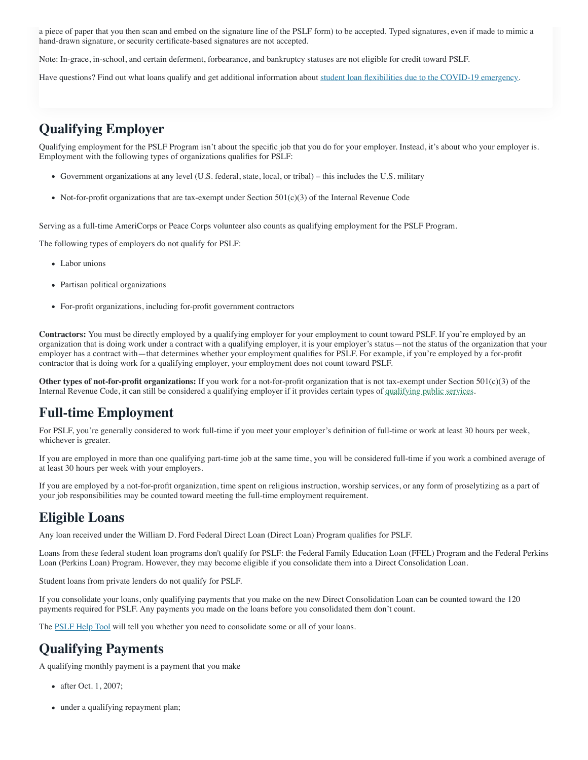a piece of paper that you then scan and embed on the signature line of the PSLF form) to be accepted. Typed signatures, even if made to mimic a hand-drawn signature, or security certificate-based signatures are not accepted.

Note: In-grace, in-school, and certain deferment, forbearance, and bankruptcy statuses are not eligible for credit toward PSLF.

Have questions? Find out what loans qualify and get additional information about [student loan flexibilities due to the COVID-19 emergency.](https://studentaid.gov/announcements-events/coronavirus)

#### **Qualifying Employer**

Qualifying employment for the PSLF Program isn't about the specific job that you do for your employer. Instead, it's about who your employer is. Employment with the following types of organizations qualifies for PSLF:

- Government organizations at any level (U.S. federal, state, local, or tribal) this includes the U.S. military
- Not-for-profit organizations that are tax-exempt under Section  $501(c)(3)$  of the Internal Revenue Code

Serving as a full-time AmeriCorps or Peace Corps volunteer also counts as qualifying employment for the PSLF Program.

The following types of employers do not qualify for PSLF:

- Labor unions
- Partisan political organizations
- For-profit organizations, including for-profit government contractors

**Contractors:** You must be directly employed by a qualifying employer for your employment to count toward PSLF. If you're employed by an organization that is doing work under a contract with a qualifying employer, it is your employer's status—not the status of the organization that your employer has a contract with—that determines whether your employment qualifies for PSLF. For example, if you're employed by a for-profit contractor that is doing work for a qualifying employer, your employment does not count toward PSLF.

**Other types of not-for-profit organizations:** If you work for a not-for-profit organization that is not tax-exempt under Section 501(c)(3) of the Internal Revenue Code, it can still be considered a qualifying employer if it provides certain types of [qualifying public services](javascript:void(0)).

## **Full-time Employment**

For PSLF, you're generally considered to work full-time if you meet your employer's definition of full-time or work at least 30 hours per week, whichever is greater.

If you are employed in more than one qualifying part-time job at the same time, you will be considered full-time if you work a combined average of at least 30 hours per week with your employers.

If you are employed by a not-for-profit organization, time spent on religious instruction, worship services, or any form of proselytizing as a part of your job responsibilities may be counted toward meeting the full-time employment requirement.

#### **Eligible Loans**

Any loan received under the William D. Ford Federal Direct Loan (Direct Loan) Program qualifies for PSLF.

Loans from these federal student loan programs don't qualify for PSLF: the Federal Family Education Loan (FFEL) Program and the Federal Perkins Loan (Perkins Loan) Program. However, they may become eligible if you consolidate them into a Direct Consolidation Loan.

Student loans from private lenders do not qualify for PSLF.

If you consolidate your loans, only qualifying payments that you make on the new Direct Consolidation Loan can be counted toward the 120 payments required for PSLF. Any payments you made on the loans before you consolidated them don't count.

The [PSLF Help Tool](https://studentaid.gov/pslf/) will tell you whether you need to consolidate some or all of your loans.

## **Qualifying Payments**

A qualifying monthly payment is a payment that you make

- after Oct. 1, 2007;
- under a qualifying repayment plan;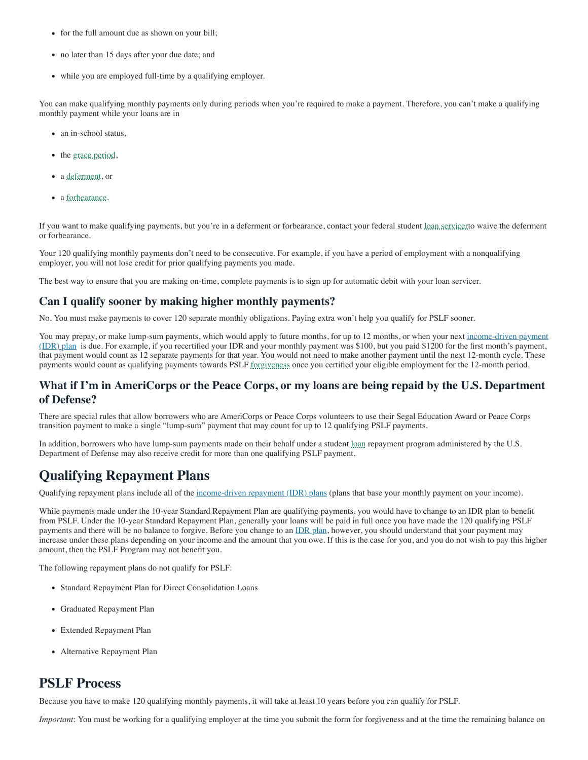- for the full amount due as shown on your bill;
- no later than 15 days after your due date; and
- while you are employed full-time by a qualifying employer.

You can make qualifying monthly payments only during periods when you're required to make a payment. Therefore, you can't make a qualifying monthly payment while your loans are in

- an in-school status,
- the [grace period](javascript:void(0)),
- a [deferment](javascript:void(0)), or
- a [forbearance](javascript:void(0)).

If you want to make qualifying payments, but you're in a deferment or forbearance, contact your federal student [loan servicert](javascript:void(0))o waive the deferment or forbearance.

Your 120 qualifying monthly payments don't need to be consecutive. For example, if you have a period of employment with a nonqualifying employer, you will not lose credit for prior qualifying payments you made.

The best way to ensure that you are making on-time, complete payments is to sign up for automatic debit with your loan servicer.

#### **Can I qualify sooner by making higher monthly payments?**

No. You must make payments to cover 120 separate monthly obligations. Paying extra won't help you qualify for PSLF sooner.

You may prepay, or make lump-sum payments, which would apply to future months, for up to 12 months, or when your next income-driven payment (IDR) plan [is due. For example, if you recertified your IDR and your monthly payment was \\$100, but you paid \\$1200 for the first month's payment,](https://studentaid.gov/app/ibrInstructions.action) that payment would count as 12 separate payments for that year. You would not need to make another payment until the next 12-month cycle. These payments would count as qualifying payments towards PSLF [forgiveness](javascript:void(0)) once you certified your eligible employment for the 12-month period.

#### **What if I'm in AmeriCorps or the Peace Corps, or my loans are being repaid by the U.S. Department of Defense?**

There are special rules that allow borrowers who are AmeriCorps or Peace Corps volunteers to use their Segal Education Award or Peace Corps transition payment to make a single "lump-sum" payment that may count for up to 12 qualifying PSLF payments.

In addition, borrowers who have lump-sum payments made on their behalf under a student [loan](javascript:void(0)) repayment program administered by the U.S. Department of Defense may also receive credit for more than one qualifying PSLF payment.

## **Qualifying Repayment Plans**

Qualifying repayment plans include all of the [income-driven repayment \(IDR\) plans](https://studentaid.gov/app/ibrInstructions.action) (plans that base your monthly payment on your income).

While payments made under the 10-year Standard Repayment Plan are qualifying payments, you would have to change to an IDR plan to benefit from PSLF. Under the 10-year Standard Repayment Plan, generally your loans will be paid in full once you have made the 120 qualifying PSLF payments and there will be no balance to forgive. Before you change to an [IDR plan](https://studentaid.gov/app/ibrInstructions.action), however, you should understand that your payment may increase under these plans depending on your income and the amount that you owe. If this is the case for you, and you do not wish to pay this higher amount, then the PSLF Program may not benefit you.

The following repayment plans do not qualify for PSLF:

- Standard Repayment Plan for Direct Consolidation Loans
- Graduated Repayment Plan
- Extended Repayment Plan
- Alternative Repayment Plan

#### **PSLF Process**

Because you have to make 120 qualifying monthly payments, it will take at least 10 years before you can qualify for PSLF.

*Important*: You must be working for a qualifying employer at the time you submit the form for forgiveness and at the time the remaining balance on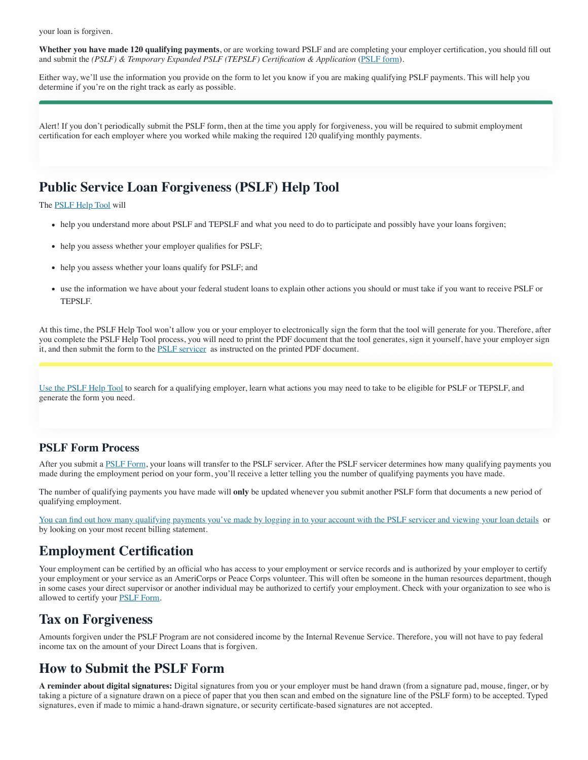your loan is forgiven.

**Whether you have made 120 qualifying payments**, or are working toward PSLF and are completing your employer certification, you should fill out and submit the *(PSLF) & Temporary Expanded PSLF (TEPSLF) Certification & Application* ([PSLF form\)](https://studentaid.gov/pslf/).

Either way, we'll use the information you provide on the form to let you know if you are making qualifying PSLF payments. This will help you determine if you're on the right track as early as possible.

Alert! If you don't periodically submit the PSLF form, then at the time you apply for forgiveness, you will be required to submit employment certification for each employer where you worked while making the required 120 qualifying monthly payments.

## **Public Service Loan Forgiveness (PSLF) Help Tool**

The **[PSLF Help Tool](https://studentaid.gov/pslf/)** will

- help you understand more about PSLF and TEPSLF and what you need to do to participate and possibly have your loans forgiven;
- help you assess whether your employer qualifies for PSLF;
- help you assess whether your loans qualify for PSLF; and
- use the information we have about your federal student loans to explain other actions you should or must take if you want to receive PSLF or TEPSLF.

At this time, the PSLF Help Tool won't allow you or your employer to electronically sign the form that the tool will generate for you. Therefore, after you complete the PSLF Help Tool process, you will need to print the PDF document that the tool generates, sign it yourself, have your employer sign it, and then submit the form to the [PSLF servicer](https://myfedloan.org/) as instructed on the printed PDF document.

[Use the PSLF Help Tool](https://studentaid.gov/pslf/) to search for a qualifying employer, learn what actions you may need to take to be eligible for PSLF or TEPSLF, and generate the form you need.

#### **PSLF Form Process**

After you submit a [PSLF Form,](https://studentaid.gov/manage-loans/forgiveness-cancellation/public-service/public-service-loan-forgiveness-application) your loans will transfer to the PSLF servicer. After the PSLF servicer determines how many qualifying payments you made during the employment period on your form, you'll receive a letter telling you the number of qualifying payments you have made.

The number of qualifying payments you have made will **only** be updated whenever you submit another PSLF form that documents a new period of qualifying employment.

[You can find out how many qualifying payments you've made by logging in to your account with the PSLF servicer and viewing your loan details](https://myfedloan.org/) or by looking on your most recent billing statement.

#### **Employment Certification**

Your employment can be certified by an official who has access to your employment or service records and is authorized by your employer to certify your employment or your service as an AmeriCorps or Peace Corps volunteer. This will often be someone in the human resources department, though in some cases your direct supervisor or another individual may be authorized to certify your employment. Check with your organization to see who is allowed to certify your **[PSLF Form](https://studentaid.gov/manage-loans/forgiveness-cancellation/public-service/public-service-loan-forgiveness-application)**.

## **Tax on Forgiveness**

Amounts forgiven under the PSLF Program are not considered income by the Internal Revenue Service. Therefore, you will not have to pay federal income tax on the amount of your Direct Loans that is forgiven.

## **How to Submit the PSLF Form**

**A reminder about digital signatures:** Digital signatures from you or your employer must be hand drawn (from a signature pad, mouse, finger, or by taking a picture of a signature drawn on a piece of paper that you then scan and embed on the signature line of the PSLF form) to be accepted. Typed signatures, even if made to mimic a hand-drawn signature, or security certificate-based signatures are not accepted.